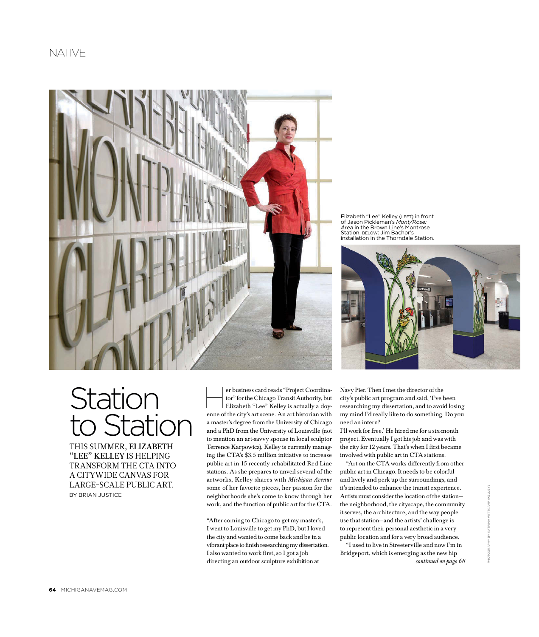

Elizabeth "Lee" Kelley (LEFT) in front of Jason Pickleman's *Mont/Rose: Area* in the Brown Line's Montrose Station. BELOW: Jim Bachor's installation in the Thorndale Station.



# **Station** to Station

This summer, Elizabeth "LEE" KELLEY IS HELPING transform the CTA into a citywide canvas for large-scale public art. **BY BRIAN JUSTICE** 

er business card reads "Project Coordina-<br>tor" for the Chicago Transit Authority, but<br>Elizabeth "Lee" Kelley is actually a doy tor" for the Chicago Transit Authority, but Elizabeth "Lee" Kelley is actually a doyenne of the city's art scene. An art historian with a master's degree from the University of Chicago and a PhD from the University of Louisville (not to mention an art-savvy spouse in local sculptor Terrence Karpowicz), Kelley is currently managing the CTA's \$3.5 million initiative to increase public art in 15 recently rehabilitated Red Line stations. As she prepares to unveil several of the artworks, Kelley shares with Michigan Avenue some of her favorite pieces, her passion for the neighborhoods she's come to know through her work, and the function of public art for the CTA.

"After coming to Chicago to get my master's, I went to Louisville to get my PhD, but I loved the city and wanted to come back and be in a vibrant place to finish researching my dissertation. I also wanted to work first, so I got a job directing an outdoor sculpture exhibition at

Navy Pier. Then I met the director of the city's public art program and said, 'I've been researching my dissertation, and to avoid losing my mind I'd really like to do something. Do you need an intern?

I'll work for free.' He hired me for a six-month project. Eventually I got his job and was with the city for 12 years. That's when I first became involved with public art in CTA stations.

"Art on the CTA works differently from other public art in Chicago. It needs to be colorful and lively and perk up the surroundings, and it's intended to enhance the transit experience. Artists must consider the location of the station the neighborhood, the cityscape, the community it serves, the architecture, and the way people use that station—and the artists' challenge is to represent their personal aesthetic in a very public location and for a very broad audience.

continued on page 66 "I used to live in Streeterville and now I'm in Bridgeport, which is emerging as the new hip